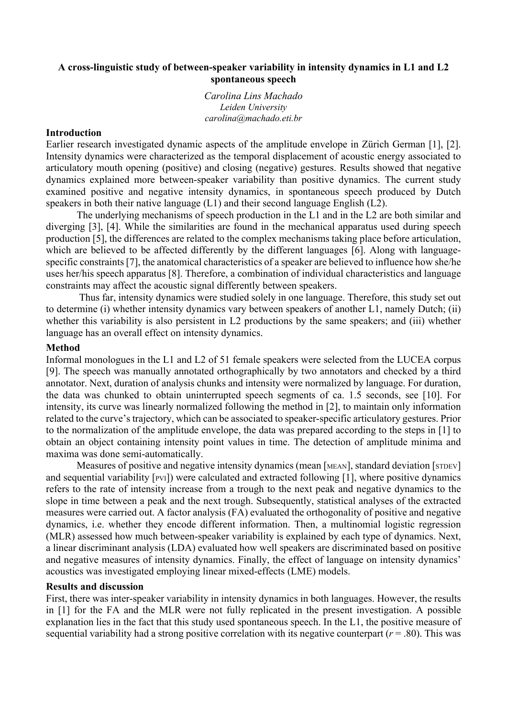## **A cross-linguistic study of between-speaker variability in intensity dynamics in L1 and L2 spontaneous speech**

*Carolina Lins Machado Leiden University carolina@machado.eti.br*

### **Introduction**

Earlier research investigated dynamic aspects of the amplitude envelope in Zürich German [1], [2]. Intensity dynamics were characterized as the temporal displacement of acoustic energy associated to articulatory mouth opening (positive) and closing (negative) gestures. Results showed that negative dynamics explained more between-speaker variability than positive dynamics. The current study examined positive and negative intensity dynamics, in spontaneous speech produced by Dutch speakers in both their native language (L1) and their second language English (L2).

The underlying mechanisms of speech production in the L1 and in the L2 are both similar and diverging [3], [4]. While the similarities are found in the mechanical apparatus used during speech production [5], the differences are related to the complex mechanisms taking place before articulation, which are believed to be affected differently by the different languages [6]. Along with languagespecific constraints[7], the anatomical characteristics of a speaker are believed to influence how she/he uses her/his speech apparatus [8]. Therefore, a combination of individual characteristics and language constraints may affect the acoustic signal differently between speakers.

Thus far, intensity dynamics were studied solely in one language. Therefore, this study set out to determine (i) whether intensity dynamics vary between speakers of another L1, namely Dutch; (ii) whether this variability is also persistent in L2 productions by the same speakers; and (iii) whether language has an overall effect on intensity dynamics.

## **Method**

Informal monologues in the L1 and L2 of 51 female speakers were selected from the LUCEA corpus [9]. The speech was manually annotated orthographically by two annotators and checked by a third annotator. Next, duration of analysis chunks and intensity were normalized by language. For duration, the data was chunked to obtain uninterrupted speech segments of ca. 1.5 seconds, see [10]. For intensity, its curve was linearly normalized following the method in [2], to maintain only information related to the curve's trajectory, which can be associated to speaker-specific articulatory gestures. Prior to the normalization of the amplitude envelope, the data was prepared according to the steps in [1] to obtain an object containing intensity point values in time. The detection of amplitude minima and maxima was done semi-automatically.

Measures of positive and negative intensity dynamics (mean [MEAN], standard deviation [STDEV] and sequential variability [PVI]) were calculated and extracted following [1], where positive dynamics refers to the rate of intensity increase from a trough to the next peak and negative dynamics to the slope in time between a peak and the next trough. Subsequently, statistical analyses of the extracted measures were carried out. A factor analysis (FA) evaluated the orthogonality of positive and negative dynamics, i.e. whether they encode different information. Then, a multinomial logistic regression (MLR) assessed how much between-speaker variability is explained by each type of dynamics. Next, a linear discriminant analysis (LDA) evaluated how well speakers are discriminated based on positive and negative measures of intensity dynamics. Finally, the effect of language on intensity dynamics' acoustics was investigated employing linear mixed-effects (LME) models.

#### **Results and discussion**

First, there was inter-speaker variability in intensity dynamics in both languages. However, the results in [1] for the FA and the MLR were not fully replicated in the present investigation. A possible explanation lies in the fact that this study used spontaneous speech. In the L1, the positive measure of sequential variability had a strong positive correlation with its negative counterpart ( $r = .80$ ). This was